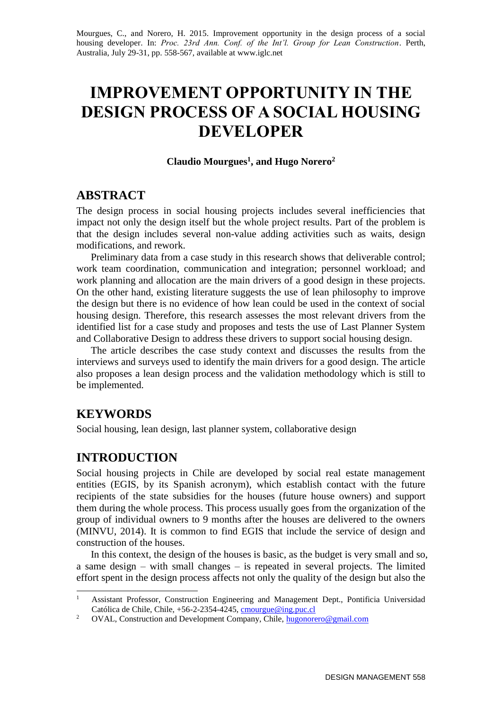Mourgues, C., and Norero, H. 2015. Improvement opportunity in the design process of a social housing developer. In: *Proc. 23rd Ann. Conf. of the Int'l. Group for Lean Construction*. Perth, Australia, July 29-31, pp. 558-567, available at www.iglc.net

# **IMPROVEMENT OPPORTUNITY IN THE DESIGN PROCESS OF A SOCIAL HOUSING DEVELOPER**

#### **Claudio Mourgues<sup>1</sup> , and Hugo Norero<sup>2</sup>**

## **ABSTRACT**

The design process in social housing projects includes several inefficiencies that impact not only the design itself but the whole project results. Part of the problem is that the design includes several non-value adding activities such as waits, design modifications, and rework.

Preliminary data from a case study in this research shows that deliverable control; work team coordination, communication and integration; personnel workload; and work planning and allocation are the main drivers of a good design in these projects. On the other hand, existing literature suggests the use of lean philosophy to improve the design but there is no evidence of how lean could be used in the context of social housing design. Therefore, this research assesses the most relevant drivers from the identified list for a case study and proposes and tests the use of Last Planner System and Collaborative Design to address these drivers to support social housing design.

The article describes the case study context and discusses the results from the interviews and surveys used to identify the main drivers for a good design. The article also proposes a lean design process and the validation methodology which is still to be implemented.

# **KEYWORDS**

-

Social housing, lean design, last planner system, collaborative design

# **INTRODUCTION**

Social housing projects in Chile are developed by social real estate management entities (EGIS, by its Spanish acronym), which establish contact with the future recipients of the state subsidies for the houses (future house owners) and support them during the whole process. This process usually goes from the organization of the group of individual owners to 9 months after the houses are delivered to the owners (MINVU, 2014). It is common to find EGIS that include the service of design and construction of the houses.

In this context, the design of the houses is basic, as the budget is very small and so, a same design – with small changes – is repeated in several projects. The limited effort spent in the design process affects not only the quality of the design but also the

<sup>&</sup>lt;sup>1</sup> Assistant Professor, Construction Engineering and Management Dept., Pontificia Universidad Católica de Chile, Chile, +56-2-2354-4245[, cmourgue@ing.puc.cl](mailto:cmourgue@ing.puc.cl)

<sup>&</sup>lt;sup>2</sup> OVAL, Construction and Development Company, Chile, [hugonorero@gmail.com](mailto:hugonorero@gmail.com)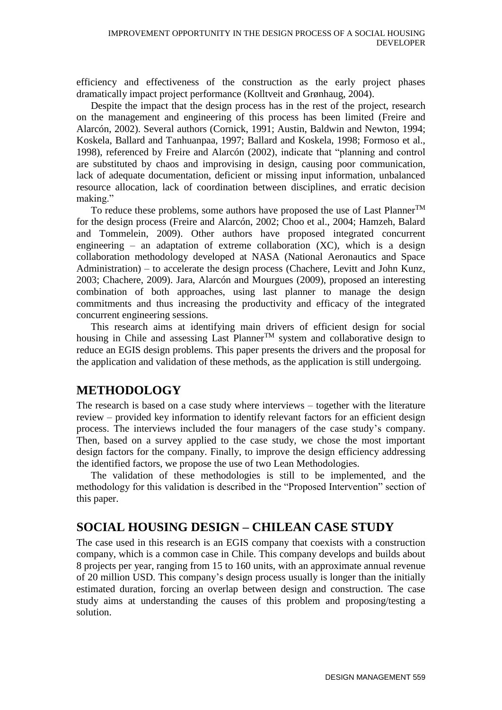efficiency and effectiveness of the construction as the early project phases dramatically impact project performance (Kolltveit and Grønhaug, 2004).

Despite the impact that the design process has in the rest of the project, research on the management and engineering of this process has been limited (Freire and Alarcón, 2002). Several authors (Cornick, 1991; Austin, Baldwin and Newton, 1994; Koskela, Ballard and Tanhuanpaa, 1997; Ballard and Koskela, 1998; Formoso et al., 1998), referenced by Freire and Alarcón (2002), indicate that "planning and control are substituted by chaos and improvising in design, causing poor communication, lack of adequate documentation, deficient or missing input information, unbalanced resource allocation, lack of coordination between disciplines, and erratic decision making."

To reduce these problems, some authors have proposed the use of Last Planner<sup>TM</sup> for the design process (Freire and Alarcón, 2002; Choo et al., 2004; Hamzeh, Balard and Tommelein, 2009). Other authors have proposed integrated concurrent engineering – an adaptation of extreme collaboration  $(XC)$ , which is a design collaboration methodology developed at NASA (National Aeronautics and Space Administration) – to accelerate the design process (Chachere, Levitt and John Kunz, 2003; Chachere, 2009). Jara, Alarcón and Mourgues (2009), proposed an interesting combination of both approaches, using last planner to manage the design commitments and thus increasing the productivity and efficacy of the integrated concurrent engineering sessions.

This research aims at identifying main drivers of efficient design for social housing in Chile and assessing Last Planner<sup>TM</sup> system and collaborative design to reduce an EGIS design problems. This paper presents the drivers and the proposal for the application and validation of these methods, as the application is still undergoing.

# **METHODOLOGY**

The research is based on a case study where interviews – together with the literature review – provided key information to identify relevant factors for an efficient design process. The interviews included the four managers of the case study's company. Then, based on a survey applied to the case study, we chose the most important design factors for the company. Finally, to improve the design efficiency addressing the identified factors, we propose the use of two Lean Methodologies.

The validation of these methodologies is still to be implemented, and the methodology for this validation is described in the "Proposed Intervention" section of this paper.

# **SOCIAL HOUSING DESIGN – CHILEAN CASE STUDY**

The case used in this research is an EGIS company that coexists with a construction company, which is a common case in Chile. This company develops and builds about 8 projects per year, ranging from 15 to 160 units, with an approximate annual revenue of 20 million USD. This company's design process usually is longer than the initially estimated duration, forcing an overlap between design and construction. The case study aims at understanding the causes of this problem and proposing/testing a solution.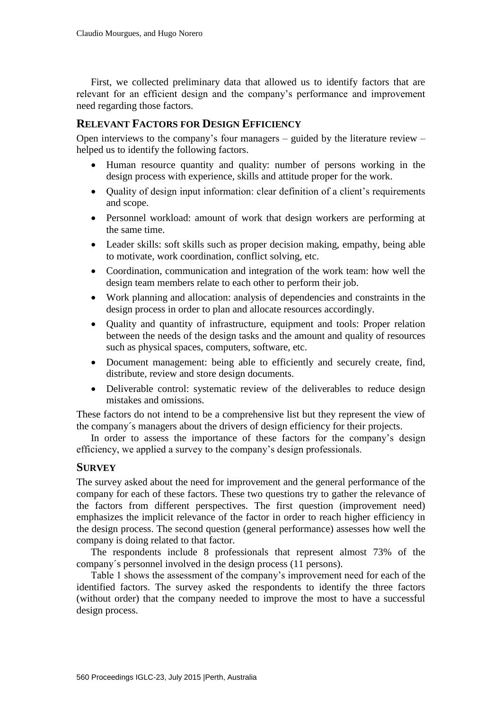First, we collected preliminary data that allowed us to identify factors that are relevant for an efficient design and the company's performance and improvement need regarding those factors.

#### **RELEVANT FACTORS FOR DESIGN EFFICIENCY**

Open interviews to the company's four managers – guided by the literature review – helped us to identify the following factors.

- Human resource quantity and quality: number of persons working in the design process with experience, skills and attitude proper for the work.
- Quality of design input information: clear definition of a client's requirements and scope.
- Personnel workload: amount of work that design workers are performing at the same time.
- Leader skills: soft skills such as proper decision making, empathy, being able to motivate, work coordination, conflict solving, etc.
- Coordination, communication and integration of the work team: how well the design team members relate to each other to perform their job.
- Work planning and allocation: analysis of dependencies and constraints in the design process in order to plan and allocate resources accordingly.
- Quality and quantity of infrastructure, equipment and tools: Proper relation between the needs of the design tasks and the amount and quality of resources such as physical spaces, computers, software, etc.
- Document management: being able to efficiently and securely create, find, distribute, review and store design documents.
- Deliverable control: systematic review of the deliverables to reduce design mistakes and omissions.

These factors do not intend to be a comprehensive list but they represent the view of the company´s managers about the drivers of design efficiency for their projects.

In order to assess the importance of these factors for the company's design efficiency, we applied a survey to the company's design professionals.

#### **SURVEY**

The survey asked about the need for improvement and the general performance of the company for each of these factors. These two questions try to gather the relevance of the factors from different perspectives. The first question (improvement need) emphasizes the implicit relevance of the factor in order to reach higher efficiency in the design process. The second question (general performance) assesses how well the company is doing related to that factor.

The respondents include 8 professionals that represent almost 73% of the company´s personnel involved in the design process (11 persons).

Table 1 shows the assessment of the company's improvement need for each of the identified factors. The survey asked the respondents to identify the three factors (without order) that the company needed to improve the most to have a successful design process.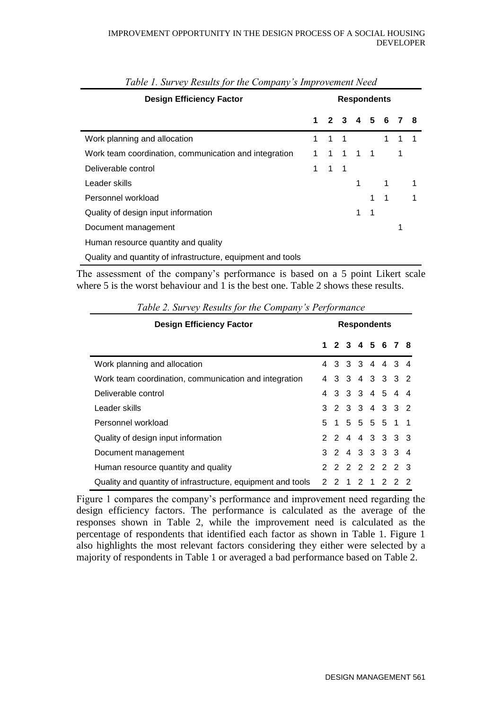| <b>Design Efficiency Factor</b>                             |   | <b>Respondents</b> |             |   |   |             |   |   |  |
|-------------------------------------------------------------|---|--------------------|-------------|---|---|-------------|---|---|--|
|                                                             | 1 |                    | 2 3 4 5 6   |   |   |             |   |   |  |
| Work planning and allocation                                | 1 | $1 \quad 1$        |             |   |   | $\mathbf 1$ | 1 |   |  |
| Work team coordination, communication and integration       |   | 1                  | 1 1 1       |   |   |             | 1 |   |  |
| Deliverable control                                         | 1 |                    | $1 \quad 1$ |   |   |             |   |   |  |
| Leader skills                                               |   |                    |             | 1 |   | 1           |   |   |  |
| Personnel workload                                          |   |                    |             |   |   | 1           |   | 1 |  |
| Quality of design input information                         |   |                    |             | 1 | 1 |             |   |   |  |
| Document management                                         |   |                    |             |   |   |             | 1 |   |  |
| Human resource quantity and quality                         |   |                    |             |   |   |             |   |   |  |
| Quality and quantity of infrastructure, equipment and tools |   |                    |             |   |   |             |   |   |  |

*Table 1. Survey Results for the Company's Improvement Need*

The assessment of the company's performance is based on a 5 point Likert scale where 5 is the worst behaviour and 1 is the best one. Table 2 shows these results.

| <b>Design Efficiency Factor</b>                             | <b>Respondents</b> |    |   |  |     |  |                 |  |
|-------------------------------------------------------------|--------------------|----|---|--|-----|--|-----------------|--|
|                                                             |                    |    |   |  |     |  | 1 2 3 4 5 6 7 8 |  |
| Work planning and allocation                                |                    |    |   |  |     |  | 3 3 3 4 4 3 4   |  |
| Work team coordination, communication and integration       | 4                  |    |   |  |     |  | 3 3 4 3 3 3 2   |  |
| Deliverable control                                         |                    |    |   |  |     |  | 3 3 3 4 5 4 4   |  |
| Leader skills                                               |                    |    |   |  |     |  | 3 2 3 3 4 3 3 2 |  |
| Personnel workload                                          |                    |    |   |  |     |  | 5 1 5 5 5 5 1 1 |  |
| Quality of design input information                         |                    |    |   |  |     |  | 2 2 4 4 3 3 3 3 |  |
| Document management                                         |                    |    |   |  |     |  | 3 2 4 3 3 3 3 4 |  |
| Human resource quantity and quality                         |                    |    |   |  |     |  | 2 2 2 2 2 2 3   |  |
| Quality and quantity of infrastructure, equipment and tools |                    | 22 | 1 |  | 2 1 |  | 2 2 2           |  |

*Table 2. Survey Results for the Company's Performance*

Figure 1 compares the company's performance and improvement need regarding the design efficiency factors. The performance is calculated as the average of the responses shown in Table 2, while the improvement need is calculated as the percentage of respondents that identified each factor as shown in Table 1. Figure 1 also highlights the most relevant factors considering they either were selected by a majority of respondents in Table 1 or averaged a bad performance based on Table 2.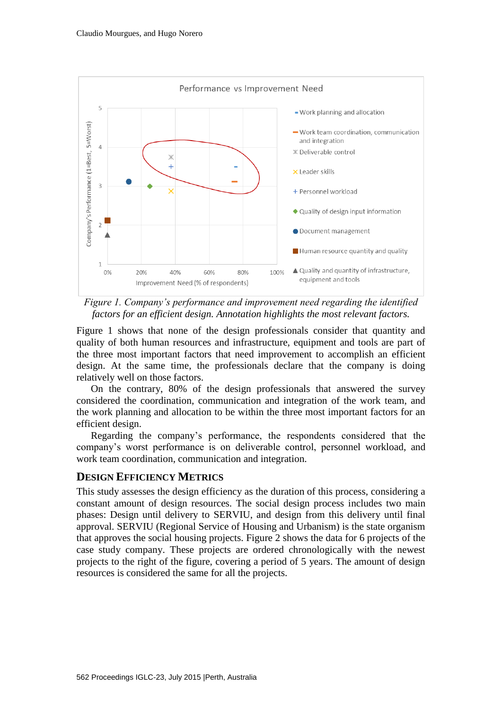



Figure 1 shows that none of the design professionals consider that quantity and quality of both human resources and infrastructure, equipment and tools are part of the three most important factors that need improvement to accomplish an efficient design. At the same time, the professionals declare that the company is doing relatively well on those factors.

On the contrary, 80% of the design professionals that answered the survey considered the coordination, communication and integration of the work team, and the work planning and allocation to be within the three most important factors for an efficient design.

Regarding the company's performance, the respondents considered that the company's worst performance is on deliverable control, personnel workload, and work team coordination, communication and integration.

#### **DESIGN EFFICIENCY METRICS**

This study assesses the design efficiency as the duration of this process, considering a constant amount of design resources. The social design process includes two main phases: Design until delivery to SERVIU, and design from this delivery until final approval. SERVIU (Regional Service of Housing and Urbanism) is the state organism that approves the social housing projects. Figure 2 shows the data for 6 projects of the case study company. These projects are ordered chronologically with the newest projects to the right of the figure, covering a period of 5 years. The amount of design resources is considered the same for all the projects.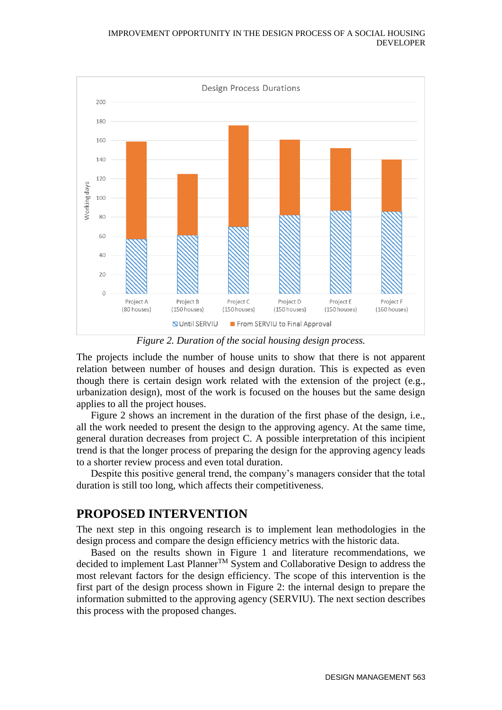#### IMPROVEMENT OPPORTUNITY IN THE DESIGN PROCESS OF A SOCIAL HOUSING DEVELOPER



*Figure 2. Duration of the social housing design process.*

The projects include the number of house units to show that there is not apparent relation between number of houses and design duration. This is expected as even though there is certain design work related with the extension of the project (e.g., urbanization design), most of the work is focused on the houses but the same design applies to all the project houses.

Figure 2 shows an increment in the duration of the first phase of the design, i.e., all the work needed to present the design to the approving agency. At the same time, general duration decreases from project C. A possible interpretation of this incipient trend is that the longer process of preparing the design for the approving agency leads to a shorter review process and even total duration.

Despite this positive general trend, the company's managers consider that the total duration is still too long, which affects their competitiveness.

# **PROPOSED INTERVENTION**

The next step in this ongoing research is to implement lean methodologies in the design process and compare the design efficiency metrics with the historic data.

Based on the results shown in Figure 1 and literature recommendations, we decided to implement Last PlannerTM System and Collaborative Design to address the most relevant factors for the design efficiency. The scope of this intervention is the first part of the design process shown in Figure 2: the internal design to prepare the information submitted to the approving agency (SERVIU). The next section describes this process with the proposed changes.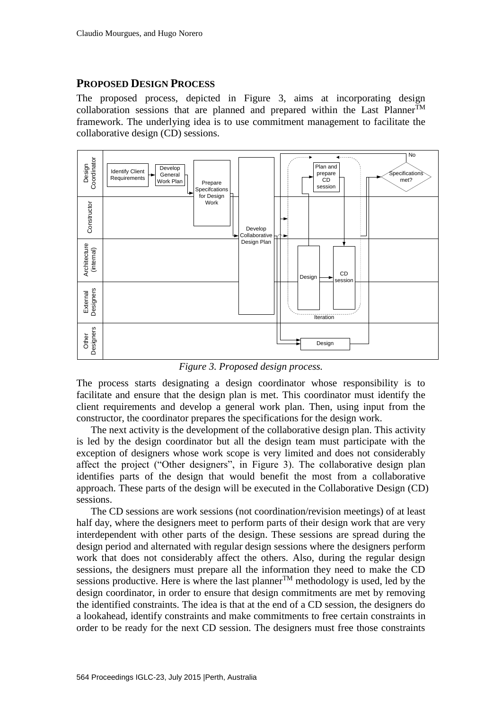### **PROPOSED DESIGN PROCESS**

The proposed process, depicted in Figure 3, aims at incorporating design collaboration sessions that are planned and prepared within the Last Planner<sup>TM</sup> framework. The underlying idea is to use commitment management to facilitate the collaborative design (CD) sessions.



*Figure 3. Proposed design process.*

The process starts designating a design coordinator whose responsibility is to facilitate and ensure that the design plan is met. This coordinator must identify the client requirements and develop a general work plan. Then, using input from the constructor, the coordinator prepares the specifications for the design work.

The next activity is the development of the collaborative design plan. This activity is led by the design coordinator but all the design team must participate with the exception of designers whose work scope is very limited and does not considerably affect the project ("Other designers", in Figure 3). The collaborative design plan identifies parts of the design that would benefit the most from a collaborative approach. These parts of the design will be executed in the Collaborative Design (CD) sessions.

The CD sessions are work sessions (not coordination/revision meetings) of at least half day, where the designers meet to perform parts of their design work that are very interdependent with other parts of the design. These sessions are spread during the design period and alternated with regular design sessions where the designers perform work that does not considerably affect the others. Also, during the regular design sessions, the designers must prepare all the information they need to make the CD sessions productive. Here is where the last planner<sup>TM</sup> methodology is used, led by the design coordinator, in order to ensure that design commitments are met by removing the identified constraints. The idea is that at the end of a CD session, the designers do a lookahead, identify constraints and make commitments to free certain constraints in order to be ready for the next CD session. The designers must free those constraints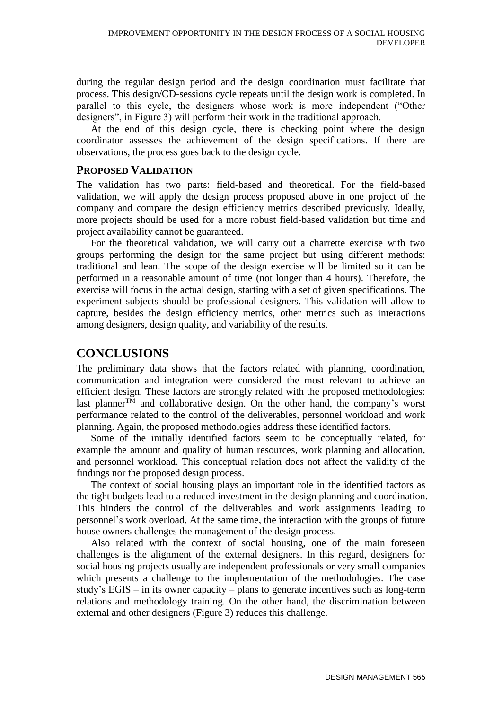during the regular design period and the design coordination must facilitate that process. This design/CD-sessions cycle repeats until the design work is completed. In parallel to this cycle, the designers whose work is more independent ("Other designers", in Figure 3) will perform their work in the traditional approach.

At the end of this design cycle, there is checking point where the design coordinator assesses the achievement of the design specifications. If there are observations, the process goes back to the design cycle.

#### **PROPOSED VALIDATION**

The validation has two parts: field-based and theoretical. For the field-based validation, we will apply the design process proposed above in one project of the company and compare the design efficiency metrics described previously. Ideally, more projects should be used for a more robust field-based validation but time and project availability cannot be guaranteed.

For the theoretical validation, we will carry out a charrette exercise with two groups performing the design for the same project but using different methods: traditional and lean. The scope of the design exercise will be limited so it can be performed in a reasonable amount of time (not longer than 4 hours). Therefore, the exercise will focus in the actual design, starting with a set of given specifications. The experiment subjects should be professional designers. This validation will allow to capture, besides the design efficiency metrics, other metrics such as interactions among designers, design quality, and variability of the results.

# **CONCLUSIONS**

The preliminary data shows that the factors related with planning, coordination, communication and integration were considered the most relevant to achieve an efficient design. These factors are strongly related with the proposed methodologies: last planner<sup>TM</sup> and collaborative design. On the other hand, the company's worst performance related to the control of the deliverables, personnel workload and work planning. Again, the proposed methodologies address these identified factors.

Some of the initially identified factors seem to be conceptually related, for example the amount and quality of human resources, work planning and allocation, and personnel workload. This conceptual relation does not affect the validity of the findings nor the proposed design process.

The context of social housing plays an important role in the identified factors as the tight budgets lead to a reduced investment in the design planning and coordination. This hinders the control of the deliverables and work assignments leading to personnel's work overload. At the same time, the interaction with the groups of future house owners challenges the management of the design process.

Also related with the context of social housing, one of the main foreseen challenges is the alignment of the external designers. In this regard, designers for social housing projects usually are independent professionals or very small companies which presents a challenge to the implementation of the methodologies. The case study's EGIS – in its owner capacity – plans to generate incentives such as long-term relations and methodology training. On the other hand, the discrimination between external and other designers (Figure 3) reduces this challenge.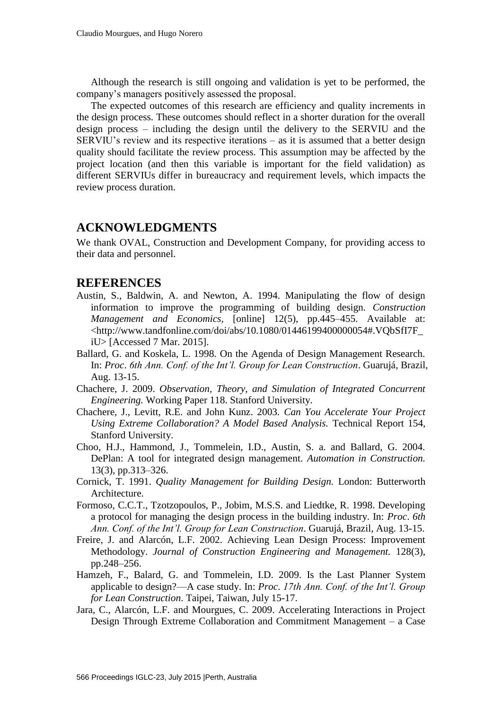Although the research is still ongoing and validation is yet to be performed, the company's managers positively assessed the proposal.

The expected outcomes of this research are efficiency and quality increments in the design process. These outcomes should reflect in a shorter duration for the overall design process – including the design until the delivery to the SERVIU and the SERVIU's review and its respective iterations – as it is assumed that a better design quality should facilitate the review process. This assumption may be affected by the project location (and then this variable is important for the field validation) as different SERVIUs differ in bureaucracy and requirement levels, which impacts the review process duration.

# **ACKNOWLEDGMENTS**

We thank OVAL, Construction and Development Company, for providing access to their data and personnel.

### **REFERENCES**

- Austin, S., Baldwin, A. and Newton, A. 1994. Manipulating the flow of design information to improve the programming of building design. *Construction Management and Economics,* [online] 12(5), pp.445–455. Available at: <http://www.tandfonline.com/doi/abs/10.1080/01446199400000054#.VQbSfI7F\_ iU> [Accessed 7 Mar. 2015].
- Ballard, G. and Koskela, L. 1998. On the Agenda of Design Management Research. In: *Proc*. *6th Ann. Conf. of the Int'l. Group for Lean Construction*. Guarujá, Brazil, Aug. 13-15.
- Chachere, J. 2009. *Observation, Theory, and Simulation of Integrated Concurrent Engineering.* Working Paper 118. Stanford University.
- Chachere, J., Levitt, R.E. and John Kunz. 2003. *Can You Accelerate Your Project Using Extreme Collaboration? A Model Based Analysis.* Technical Report 154, Stanford University.
- Choo, H.J., Hammond, J., Tommelein, I.D., Austin, S. a. and Ballard, G. 2004. DePlan: A tool for integrated design management. *Automation in Construction.* 13(3), pp.313–326.
- Cornick, T. 1991. *Quality Management for Building Design.* London: Butterworth Architecture.
- Formoso, C.C.T., Tzotzopoulos, P., Jobim, M.S.S. and Liedtke, R. 1998. Developing a protocol for managing the design process in the building industry. In: *Proc*. *6th Ann. Conf. of the Int'l. Group for Lean Construction*. Guarujá, Brazil, Aug. 13-15.
- Freire, J. and Alarcón, L.F. 2002. Achieving Lean Design Process: Improvement Methodology. *Journal of Construction Engineering and Management.* 128(3), pp.248–256.
- Hamzeh, F., Balard, G. and Tommelein, I.D. 2009. Is the Last Planner System applicable to design?—A case study. In: *Proc*. *17th Ann. Conf. of the Int'l. Group for Lean Construction*. Taipei, Taiwan, July 15-17.
- Jara, C., Alarcón, L.F. and Mourgues, C. 2009. Accelerating Interactions in Project Design Through Extreme Collaboration and Commitment Management – a Case